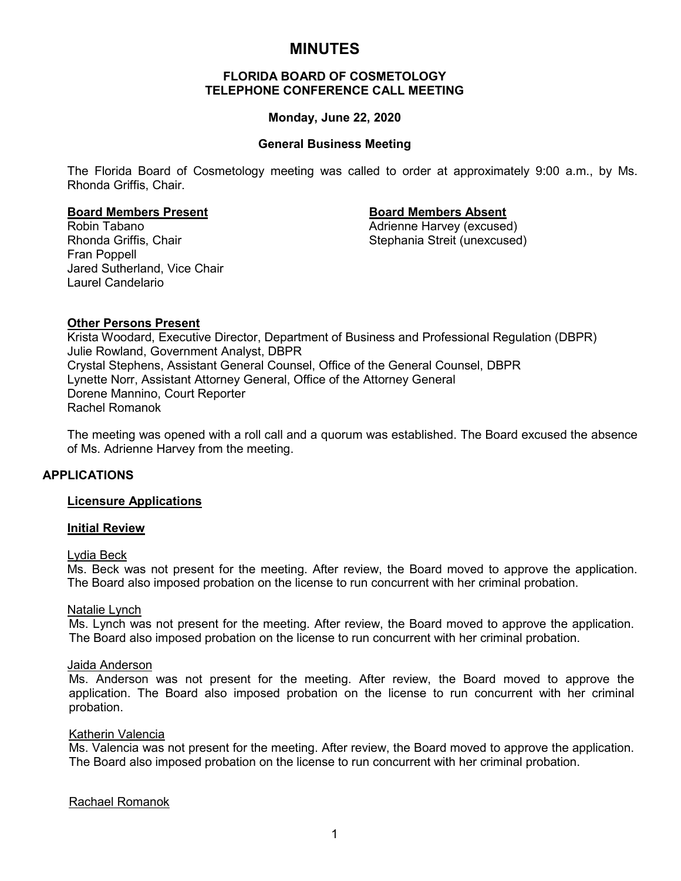# **MINUTES**

### **FLORIDA BOARD OF COSMETOLOGY TELEPHONE CONFERENCE CALL MEETING**

#### **Monday, June 22, 2020**

#### **General Business Meeting**

The Florida Board of Cosmetology meeting was called to order at approximately 9:00 a.m., by Ms. Rhonda Griffis, Chair.

**Board Members Present Board Members Absent** Rhonda Griffis, Chair Stephania Streit (unexcused) Fran Poppell Jared Sutherland, Vice Chair Laurel Candelario

Adrienne Harvey (excused)

# **Other Persons Present**

Krista Woodard, Executive Director, Department of Business and Professional Regulation (DBPR) Julie Rowland, Government Analyst, DBPR Crystal Stephens, Assistant General Counsel, Office of the General Counsel, DBPR Lynette Norr, Assistant Attorney General, Office of the Attorney General Dorene Mannino, Court Reporter Rachel Romanok

The meeting was opened with a roll call and a quorum was established. The Board excused the absence of Ms. Adrienne Harvey from the meeting.

#### **APPLICATIONS**

#### **Licensure Applications**

#### **Initial Review**

#### Lydia Beck

Ms. Beck was not present for the meeting. After review, the Board moved to approve the application. The Board also imposed probation on the license to run concurrent with her criminal probation.

#### Natalie Lynch

Ms. Lynch was not present for the meeting. After review, the Board moved to approve the application. The Board also imposed probation on the license to run concurrent with her criminal probation.

#### Jaida Anderson

Ms. Anderson was not present for the meeting. After review, the Board moved to approve the application. The Board also imposed probation on the license to run concurrent with her criminal probation.

#### Katherin Valencia

Ms. Valencia was not present for the meeting. After review, the Board moved to approve the application. The Board also imposed probation on the license to run concurrent with her criminal probation.

#### Rachael Romanok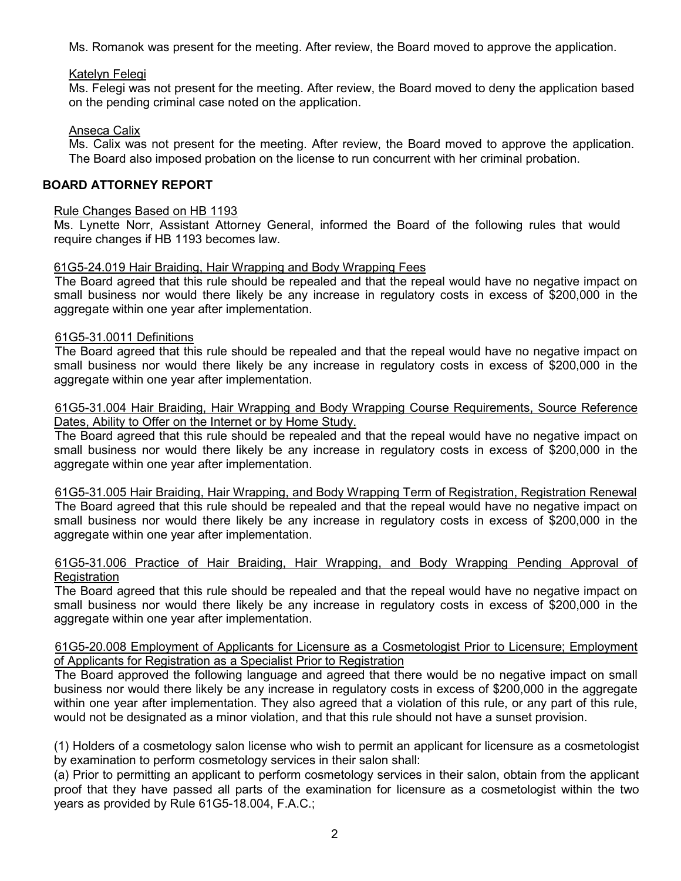Ms. Romanok was present for the meeting. After review, the Board moved to approve the application.

#### Katelyn Felegi

Ms. Felegi was not present for the meeting. After review, the Board moved to deny the application based on the pending criminal case noted on the application.

### Anseca Calix

Ms. Calix was not present for the meeting. After review, the Board moved to approve the application. The Board also imposed probation on the license to run concurrent with her criminal probation.

### **BOARD ATTORNEY REPORT**

#### Rule Changes Based on HB 1193

Ms. Lynette Norr, Assistant Attorney General, informed the Board of the following rules that would require changes if HB 1193 becomes law.

### 61G5-24.019 Hair Braiding, Hair Wrapping and Body Wrapping Fees

The Board agreed that this rule should be repealed and that the repeal would have no negative impact on small business nor would there likely be any increase in regulatory costs in excess of \$200,000 in the aggregate within one year after implementation.

### 61G5-31.0011 Definitions

The Board agreed that this rule should be repealed and that the repeal would have no negative impact on small business nor would there likely be any increase in regulatory costs in excess of \$200,000 in the aggregate within one year after implementation.

#### 61G5-31.004 Hair Braiding, Hair Wrapping and Body Wrapping Course Requirements, Source Reference Dates, Ability to Offer on the Internet or by Home Study.

The Board agreed that this rule should be repealed and that the repeal would have no negative impact on small business nor would there likely be any increase in regulatory costs in excess of \$200,000 in the aggregate within one year after implementation.

61G5-31.005 Hair Braiding, Hair Wrapping, and Body Wrapping Term of Registration, Registration Renewal The Board agreed that this rule should be repealed and that the repeal would have no negative impact on small business nor would there likely be any increase in regulatory costs in excess of \$200,000 in the aggregate within one year after implementation.

#### 61G5-31.006 Practice of Hair Braiding, Hair Wrapping, and Body Wrapping Pending Approval of **Registration**

The Board agreed that this rule should be repealed and that the repeal would have no negative impact on small business nor would there likely be any increase in regulatory costs in excess of \$200,000 in the aggregate within one year after implementation.

### 61G5-20.008 Employment of Applicants for Licensure as a Cosmetologist Prior to Licensure; Employment of Applicants for Registration as a Specialist Prior to Registration

The Board approved the following language and agreed that there would be no negative impact on small business nor would there likely be any increase in regulatory costs in excess of \$200,000 in the aggregate within one year after implementation. They also agreed that a violation of this rule, or any part of this rule, would not be designated as a minor violation, and that this rule should not have a sunset provision.

(1) Holders of a cosmetology salon license who wish to permit an applicant for licensure as a cosmetologist by examination to perform cosmetology services in their salon shall:

(a) Prior to permitting an applicant to perform cosmetology services in their salon, obtain from the applicant proof that they have passed all parts of the examination for licensure as a cosmetologist within the two years as provided by Rule 61G5-18.004, F.A.C.;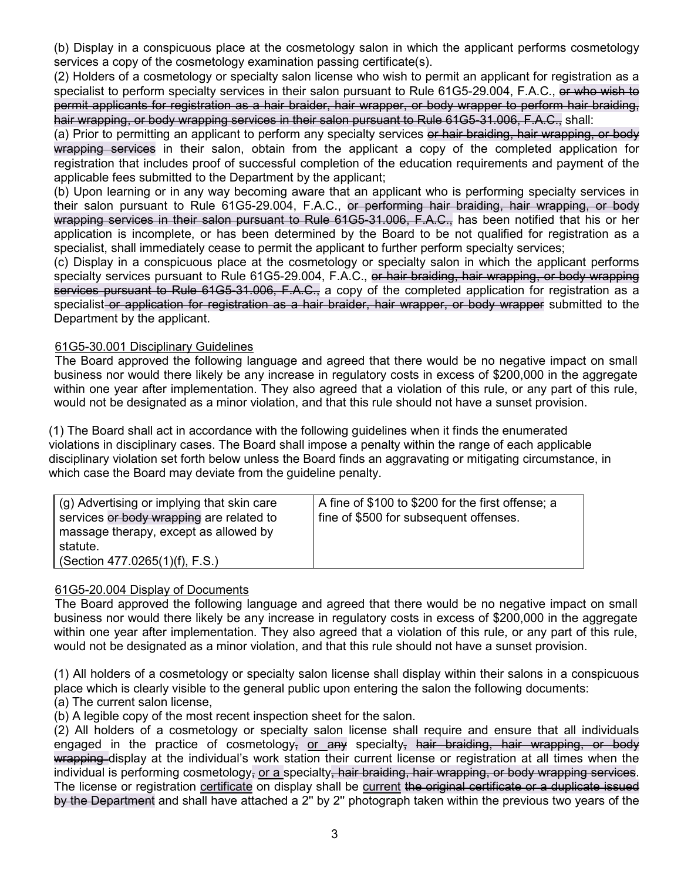(b) Display in a conspicuous place at the cosmetology salon in which the applicant performs cosmetology services a copy of the cosmetology examination passing certificate(s).

(2) Holders of a cosmetology or specialty salon license who wish to permit an applicant for registration as a specialist to perform specialty services in their salon pursuant to Rule 61G5-29.004, F.A.C., or who wish to permit applicants for registration as a hair braider, hair wrapper, or body wrapper to perform hair braiding, hair wrapping, or body wrapping services in their salon pursuant to Rule 61G5-31.006, F.A.C., shall:

(a) Prior to permitting an applicant to perform any specialty services or hair braiding, hair wrapping, or body wrapping services in their salon, obtain from the applicant a copy of the completed application for registration that includes proof of successful completion of the education requirements and payment of the applicable fees submitted to the Department by the applicant;

(b) Upon learning or in any way becoming aware that an applicant who is performing specialty services in their salon pursuant to Rule 61G5-29.004, F.A.C., or performing hair braiding, hair wrapping, or body wrapping services in their salon pursuant to Rule 61G5-31.006, F.A.C., has been notified that his or her application is incomplete, or has been determined by the Board to be not qualified for registration as a specialist, shall immediately cease to permit the applicant to further perform specialty services;

(c) Display in a conspicuous place at the cosmetology or specialty salon in which the applicant performs specialty services pursuant to Rule 61G5-29.004, F.A.C., or hair braiding, hair wrapping, or body wrapping services pursuant to Rule 61G5-31.006, F.A.C., a copy of the completed application for registration as a specialist or application for registration as a hair braider, hair wrapper, or body wrapper submitted to the Department by the applicant.

# 61G5-30.001 Disciplinary Guidelines

The Board approved the following language and agreed that there would be no negative impact on small business nor would there likely be any increase in regulatory costs in excess of \$200,000 in the aggregate within one year after implementation. They also agreed that a violation of this rule, or any part of this rule, would not be designated as a minor violation, and that this rule should not have a sunset provision.

(1) The Board shall act in accordance with the following guidelines when it finds the enumerated violations in disciplinary cases. The Board shall impose a penalty within the range of each applicable disciplinary violation set forth below unless the Board finds an aggravating or mitigating circumstance, in which case the Board may deviate from the guideline penalty.

# 61G5-20.004 Display of Documents

The Board approved the following language and agreed that there would be no negative impact on small business nor would there likely be any increase in regulatory costs in excess of \$200,000 in the aggregate within one year after implementation. They also agreed that a violation of this rule, or any part of this rule, would not be designated as a minor violation, and that this rule should not have a sunset provision.

(1) All holders of a cosmetology or specialty salon license shall display within their salons in a conspicuous place which is clearly visible to the general public upon entering the salon the following documents:

(a) The current salon license,

(b) A legible copy of the most recent inspection sheet for the salon.

(2) All holders of a cosmetology or specialty salon license shall require and ensure that all individuals engaged in the practice of cosmetology, or any specialty, hair braiding, hair wrapping, or body wrapping display at the individual's work station their current license or registration at all times when the individual is performing cosmetology, or a specialty, hair braiding, hair wrapping, or body wrapping services. The license or registration certificate on display shall be current the original certificate or a duplicate issued by the Department and shall have attached a 2'' by 2'' photograph taken within the previous two years of the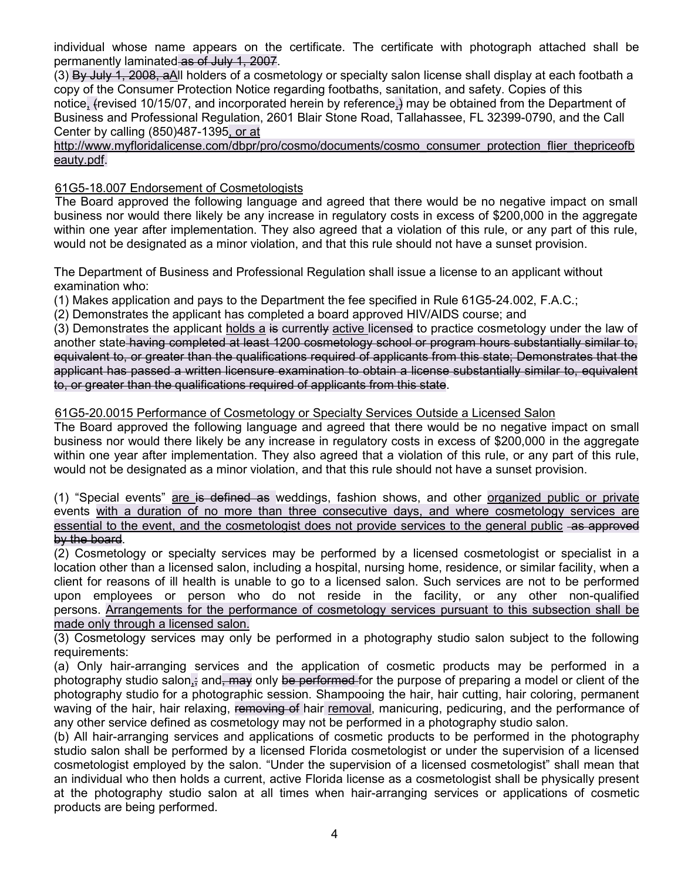individual whose name appears on the certificate. The certificate with photograph attached shall be permanently laminated as of July 1, 2007.

(3) By July 1, 2008, aAll holders of a cosmetology or specialty salon license shall display at each footbath a copy of the Consumer Protection Notice regarding footbaths, sanitation, and safety. Copies of this notice, (revised 10/15/07, and incorporated herein by reference,) may be obtained from the Department of Business and Professional Regulation, 2601 Blair Stone Road, Tallahassee, FL 32399-0790, and the Call Center by calling (850)487-1395, or at

http://www.myfloridalicense.com/dbpr/pro/cosmo/documents/cosmo\_consumer\_protection\_flier\_thepriceofb eauty.pdf.

# 61G5-18.007 Endorsement of Cosmetologists

The Board approved the following language and agreed that there would be no negative impact on small business nor would there likely be any increase in regulatory costs in excess of \$200,000 in the aggregate within one year after implementation. They also agreed that a violation of this rule, or any part of this rule, would not be designated as a minor violation, and that this rule should not have a sunset provision.

The Department of Business and Professional Regulation shall issue a license to an applicant without examination who:

(1) Makes application and pays to the Department the fee specified in Rule 61G5-24.002, F.A.C.;

(2) Demonstrates the applicant has completed a board approved HIV/AIDS course; and

(3) Demonstrates the applicant holds a is currently active licensed to practice cosmetology under the law of another state having completed at least 1200 cosmetology school or program hours substantially similar to, equivalent to, or greater than the qualifications required of applicants from this state; Demonstrates that the applicant has passed a written licensure examination to obtain a license substantially similar to, equivalent to, or greater than the qualifications required of applicants from this state.

### 61G5-20.0015 Performance of Cosmetology or Specialty Services Outside a Licensed Salon

The Board approved the following language and agreed that there would be no negative impact on small business nor would there likely be any increase in regulatory costs in excess of \$200,000 in the aggregate within one year after implementation. They also agreed that a violation of this rule, or any part of this rule, would not be designated as a minor violation, and that this rule should not have a sunset provision.

(1) "Special events" are is defined as weddings, fashion shows, and other organized public or private events with a duration of no more than three consecutive days, and where cosmetology services are essential to the event, and the cosmetologist does not provide services to the general public -as approved by the board.

(2) Cosmetology or specialty services may be performed by a licensed cosmetologist or specialist in a location other than a licensed salon, including a hospital, nursing home, residence, or similar facility, when a client for reasons of ill health is unable to go to a licensed salon. Such services are not to be performed upon employees or person who do not reside in the facility, or any other non-qualified persons. Arrangements for the performance of cosmetology services pursuant to this subsection shall be made only through a licensed salon.

(3) Cosmetology services may only be performed in a photography studio salon subject to the following requirements:

(a) Only hair-arranging services and the application of cosmetic products may be performed in a photography studio salon, and, may only be performed for the purpose of preparing a model or client of the photography studio for a photographic session. Shampooing the hair, hair cutting, hair coloring, permanent waving of the hair, hair relaxing, removing of hair removal, manicuring, pedicuring, and the performance of any other service defined as cosmetology may not be performed in a photography studio salon.

(b) All hair-arranging services and applications of cosmetic products to be performed in the photography studio salon shall be performed by a licensed Florida cosmetologist or under the supervision of a licensed cosmetologist employed by the salon. "Under the supervision of a licensed cosmetologist" shall mean that an individual who then holds a current, active Florida license as a cosmetologist shall be physically present at the photography studio salon at all times when hair-arranging services or applications of cosmetic products are being performed.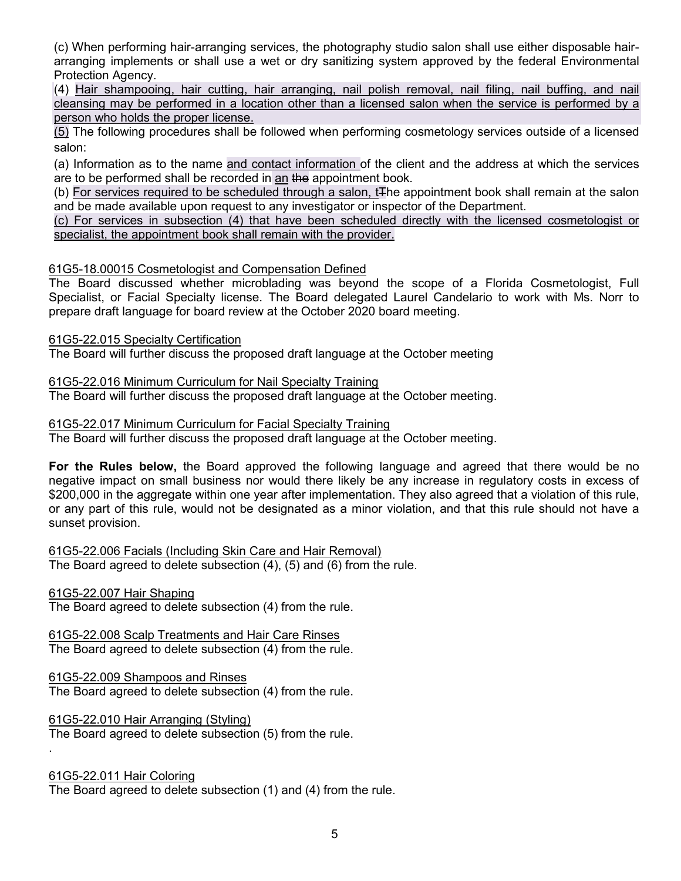(c) When performing hair-arranging services, the photography studio salon shall use either disposable hairarranging implements or shall use a wet or dry sanitizing system approved by the federal Environmental Protection Agency.

(4) Hair shampooing, hair cutting, hair arranging, nail polish removal, nail filing, nail buffing, and nail cleansing may be performed in a location other than a licensed salon when the service is performed by a person who holds the proper license.

(5) The following procedures shall be followed when performing cosmetology services outside of a licensed salon:

(a) Information as to the name and contact information of the client and the address at which the services are to be performed shall be recorded in an the appointment book.

(b) For services required to be scheduled through a salon, t<sub>the appointment book shall remain at the salon</sub> and be made available upon request to any investigator or inspector of the Department.

(c) For services in subsection (4) that have been scheduled directly with the licensed cosmetologist or specialist, the appointment book shall remain with the provider.

### 61G5-18.00015 Cosmetologist and Compensation Defined

The Board discussed whether microblading was beyond the scope of a Florida Cosmetologist, Full Specialist, or Facial Specialty license. The Board delegated Laurel Candelario to work with Ms. Norr to prepare draft language for board review at the October 2020 board meeting.

61G5-22.015 Specialty Certification

The Board will further discuss the proposed draft language at the October meeting

61G5-22.016 Minimum Curriculum for Nail Specialty Training The Board will further discuss the proposed draft language at the October meeting.

61G5-22.017 Minimum Curriculum for Facial Specialty Training

The Board will further discuss the proposed draft language at the October meeting.

**For the Rules below,** the Board approved the following language and agreed that there would be no negative impact on small business nor would there likely be any increase in regulatory costs in excess of \$200,000 in the aggregate within one year after implementation. They also agreed that a violation of this rule, or any part of this rule, would not be designated as a minor violation, and that this rule should not have a sunset provision.

61G5-22.006 Facials (Including Skin Care and Hair Removal) The Board agreed to delete subsection (4), (5) and (6) from the rule.

#### 61G5-22.007 Hair Shaping

The Board agreed to delete subsection (4) from the rule.

61G5-22.008 Scalp Treatments and Hair Care Rinses The Board agreed to delete subsection (4) from the rule.

#### 61G5-22.009 Shampoos and Rinses

The Board agreed to delete subsection (4) from the rule.

61G5-22.010 Hair Arranging (Styling)

The Board agreed to delete subsection (5) from the rule.

# 61G5-22.011 Hair Coloring

.

The Board agreed to delete subsection (1) and (4) from the rule.